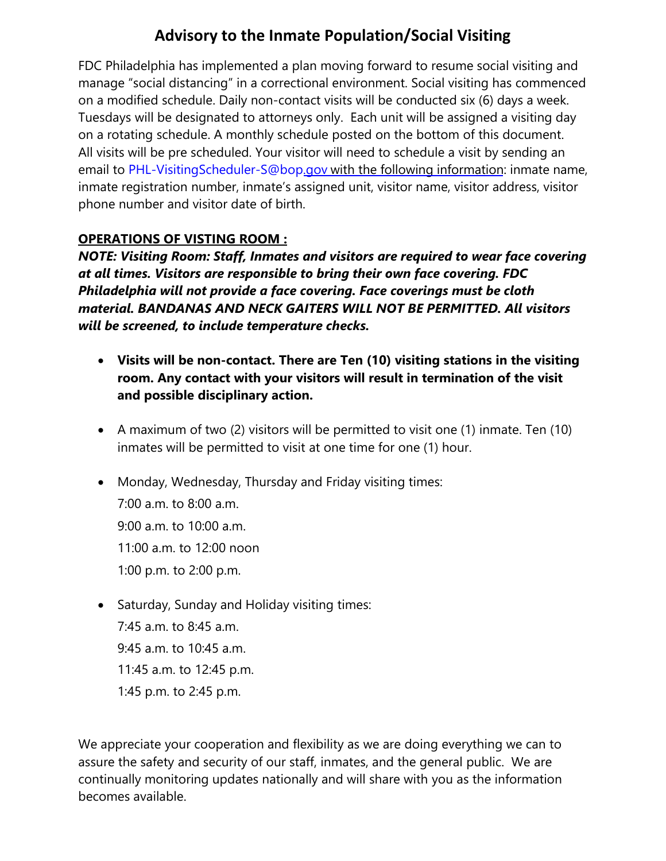### **Advisory to the Inmate Population/Social Visiting**

FDC Philadelphia has implemented a plan moving forward to resume social visiting and manage "social distancing" in a correctional environment. Social visiting has commenced on a modified schedule. Daily non-contact visits will be conducted six (6) days a week. Tuesdays will be designated to attorneys only. Each unit will be assigned a visiting day on a rotating schedule. A monthly schedule posted on the bottom of this document. All visits will be pre scheduled. Your visitor will need to schedule a visit by sending an email to [PHL-VisitingScheduler-S@bop.gov](mailto:PHL-VisitingScheduler-S@bop.gov) with the following information: inmate name, inmate registration number, inmate's assigned unit, visitor name, visitor address, visitor phone number and visitor date of birth.

### **OPERATIONS OF VISTING ROOM :**

*NOTE: Visiting Room: Staff, Inmates and visitors are required to wear face covering at all times. Visitors are responsible to bring their own face covering. FDC Philadelphia will not provide a face covering. Face coverings must be cloth material. BANDANAS AND NECK GAITERS WILL NOT BE PERMITTED. All visitors will be screened, to include temperature checks.*

- **Visits will be non-contact. There are Ten (10) visiting stations in the visiting room. Any contact with your visitors will result in termination of the visit and possible disciplinary action.**
- A maximum of two (2) visitors will be permitted to visit one (1) inmate. Ten (10) inmates will be permitted to visit at one time for one (1) hour.
- Monday, Wednesday, Thursday and Friday visiting times: 7:00 a.m. to 8:00 a.m. 9:00 a.m. to 10:00 a.m. 11:00 a.m. to 12:00 noon 1:00 p.m. to 2:00 p.m.
- Saturday, Sunday and Holiday visiting times: 7:45 a.m. to 8:45 a.m. 9:45 a.m. to 10:45 a.m. 11:45 a.m. to 12:45 p.m. 1:45 p.m. to 2:45 p.m.

We appreciate your cooperation and flexibility as we are doing everything we can to assure the safety and security of our staff, inmates, and the general public. We are continually monitoring updates nationally and will share with you as the information becomes available.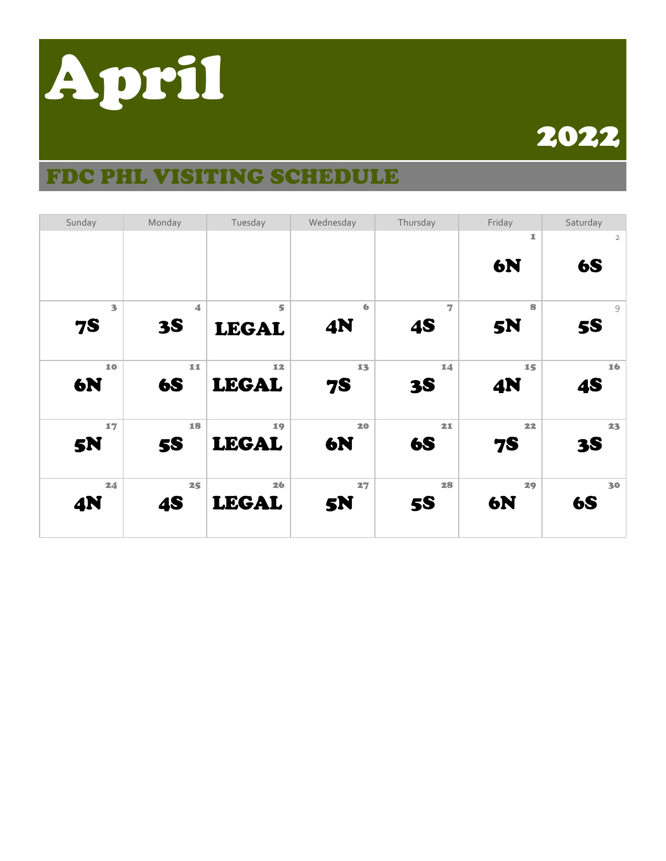

## 2022

## FDC PHL VISITING SCHEDULE

| Sunday    | Monday               | Tuesday                 | Wednesday | Thursday  | Friday    | Saturday       |
|-----------|----------------------|-------------------------|-----------|-----------|-----------|----------------|
|           |                      |                         |           |           | 1         | $\overline{2}$ |
|           |                      |                         |           |           | <b>6N</b> | <b>6S</b>      |
|           |                      |                         |           |           |           |                |
|           |                      |                         |           |           |           |                |
| 3         | $\blacktriangleleft$ | $\overline{\mathbf{s}}$ | 6         | 7         | 8         | 9              |
| <b>7S</b> | <b>3S</b>            | <b>LEGAL</b>            | <b>4N</b> | <b>4S</b> | <b>5N</b> | <b>5S</b>      |
|           |                      |                         |           |           |           |                |
| 10        | 11                   | 12                      | 13        | 14        | 15        | 16             |
| <b>6N</b> | <b>6S</b>            | <b>LEGAL</b>            | <b>7S</b> | <b>3S</b> | <b>4N</b> | <b>4S</b>      |
|           |                      |                         |           |           |           |                |
| 17        | 18                   | 19                      | 20        | 21        | 22        | 23             |
| <b>5N</b> | <b>5S</b>            | <b>LEGAL</b>            | 6N        | <b>6S</b> | <b>7S</b> | <b>3S</b>      |
|           |                      |                         |           |           |           |                |
| 24        | 25                   | 26                      | 27        | 28        | 29        | 30             |
| <b>4N</b> | <b>4S</b>            | <b>LEGAL</b>            | <b>5N</b> | <b>5S</b> | <b>6N</b> | <b>6S</b>      |
|           |                      |                         |           |           |           |                |
|           |                      |                         |           |           |           |                |